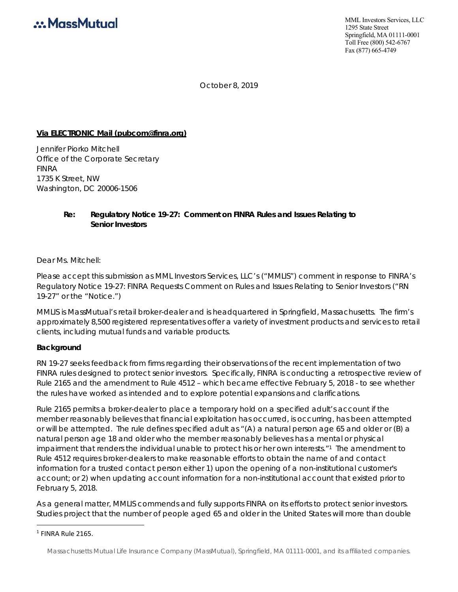

MML Investors Services, LLC 1295 State Street Springfield, MA 01111-0001 Toll Free (800) 542-6767 Fax (877) 665-4749

October 8, 2019

#### **Via ELECTRONIC Mail (pubcom@finra.org)**

Jennifer Piorko Mitchell Office of the Corporate Secretary FINRA 1735 K Street, NW Washington, DC 20006-1506

### **Re: Regulatory Notice 19-27: Comment on FINRA Rules and Issues Relating to Senior Investors**

Dear Ms. Mitchell:

Please accept this submission as MML Investors Services, LLC's ("MMLIS") comment in response to FINRA's Regulatory Notice 19-27: FINRA Requests Comment on Rules and Issues Relating to Senior Investors ("RN 19-27" or the "Notice.")

MMLIS is MassMutual's retail broker-dealer and is headquartered in Springfield, Massachusetts. The firm's approximately 8,500 registered representatives offer a variety of investment products and services to retail clients, including mutual funds and variable products.

#### **Background**

RN 19-27 seeks feedback from firms regarding their observations of the recent implementation of two FINRA rules designed to protect senior investors. Specifically, FINRA is conducting a retrospective review of Rule 2165 and the amendment to Rule 4512 – which became effective February 5, 2018 - to see whether the rules have worked as intended and to explore potential expansions and clarifications.

Rule 2165 permits a broker-dealer to place a temporary hold on a specified adult's account if the member reasonably believes that financial exploitation has occurred, is occurring, has been attempted or will be attempted. The rule defines specified adult as "(A) a natural person age 65 and older or (B) a natural person age 18 and older who the member reasonably believes has a mental or physical impairment that renders the individual unable to protect his or her own interests."1 The amendment to Rule 4512 requires broker-dealers to make reasonable efforts to obtain the name of and contact information for a trusted contact person either 1) upon the opening of a non-institutional customer's account; or 2) when updating account information for a non-institutional account that existed prior to February 5, 2018.

As a general matter, MMLIS commends and fully supports FINRA on its efforts to protect senior investors. Studies project that the number of people aged 65 and older in the United States will more than double

<sup>1</sup> FINRA Rule 2165.

Massachusetts Mutual Life Insurance Company (MassMutual), Springfield, MA 01111-0001, and its affiliated companies.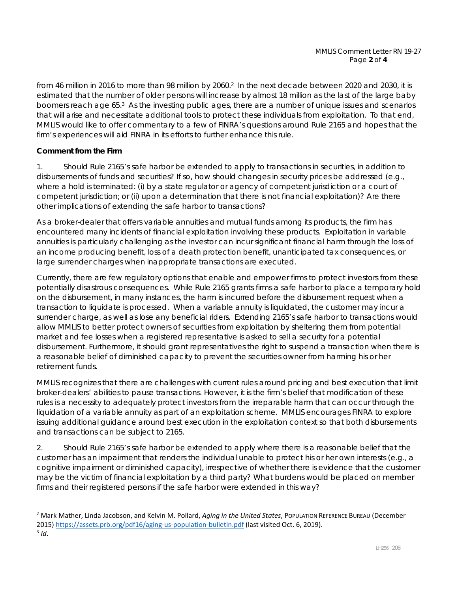from 46 million in 2016 to more than 98 million by 2060.<sup>2</sup> In the next decade between 2020 and 2030, it is estimated that the number of older persons will increase by almost 18 million as the last of the large baby boomers reach age 65.3 As the investing public ages, there are a number of unique issues and scenarios that will arise and necessitate additional tools to protect these individuals from exploitation. To that end, MMLIS would like to offer commentary to a few of FINRA's questions around Rule 2165 and hopes that the firm's experiences will aid FINRA in its efforts to further enhance this rule.

# **Comment from the Firm**

*1. Should Rule 2165's safe harbor be extended to apply to transactions in securities, in addition to disbursements of funds and securities? If so, how should changes in security prices be addressed (e.g., where a hold is terminated: (i) by a state regulator or agency of competent jurisdiction or a court of competent jurisdiction; or (ii) upon a determination that there is not financial exploitation)? Are there other implications of extending the safe harbor to transactions?* 

As a broker-dealer that offers variable annuities and mutual funds among its products, the firm has encountered many incidents of financial exploitation involving these products. Exploitation in variable annuities is particularly challenging as the investor can incur significant financial harm through the loss of an income producing benefit, loss of a death protection benefit, unanticipated tax consequences, or large surrender charges when inappropriate transactions are executed.

Currently, there are few regulatory options that enable and empower firms to protect investors from these potentially disastrous consequences. While Rule 2165 grants firms a safe harbor to place a temporary hold on the disbursement, in many instances, the harm is incurred before the disbursement request when a transaction to liquidate is processed. When a variable annuity is liquidated, the customer may incur a surrender charge, as well as lose any beneficial riders. Extending 2165's safe harbor to transactions would allow MMLIS to better protect owners of securities from exploitation by sheltering them from potential market and fee losses when a registered representative is asked to sell a security for a potential disbursement. Furthermore, it should grant representatives the right to suspend a transaction when there is a reasonable belief of diminished capacity to prevent the securities owner from harming his or her retirement funds.

MMLIS recognizes that there are challenges with current rules around pricing and best execution that limit broker-dealers' abilities to pause transactions. However, it is the firm's belief that modification of these rules is a necessity to adequately protect investors from the irreparable harm that can occur through the liquidation of a variable annuity as part of an exploitation scheme. MMLIS encourages FINRA to explore issuing additional guidance around best execution in the exploitation context so that both disbursements and transactions can be subject to 2165.

*2. Should Rule 2165's safe harbor be extended to apply where there is a reasonable belief that the customer has an impairment that renders the individual unable to protect his or her own interests (e.g., a cognitive impairment or diminished capacity), irrespective of whether there is evidence that the customer may be the victim of financial exploitation by a third party? What burdens would be placed on member firms and their registered persons if the safe harbor were extended in this way?* 

<sup>2</sup> Mark Mather, Linda Jacobson, and Kelvin M. Pollard, *Aging in the United States*, POPULATION REFERENCE BUREAU (December 2015) https://assets.prb.org/pdf16/aging-us-population-bulletin.pdf (last visited Oct. 6, 2019). <sup>3</sup> *Id*.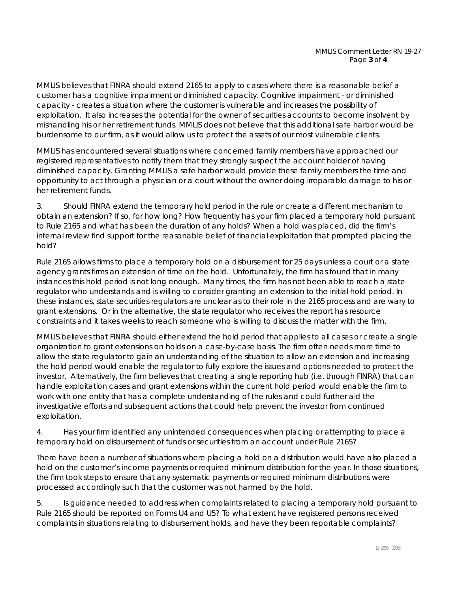MMLIS believes that FINRA should extend 2165 to apply to cases where there is a reasonable belief a customer has a cognitive impairment or diminished capacity. Cognitive impairment - or diminished capacity - creates a situation where the customer is vulnerable and increases the possibility of exploitation. It also increases the potential for the owner of securities accounts to become insolvent by mishandling his or her retirement funds. MMLIS does not believe that this additional safe harbor would be burdensome to our firm, as it would allow us to protect the assets of our most vulnerable clients.

MMLIS has encountered several situations where concerned family members have approached our registered representatives to notify them that they strongly suspect the account holder of having diminished capacity. Granting MMLIS a safe harbor would provide these family members the time and opportunity to act through a physician or a court without the owner doing irreparable damage to his or her retirement funds.

*3. Should FINRA extend the temporary hold period in the rule or create a different mechanism to obtain an extension? If so, for how long? How frequently has your firm placed a temporary hold pursuant to Rule 2165 and what has been the duration of any holds? When a hold was placed, did the firm's internal review find support for the reasonable belief of financial exploitation that prompted placing the hold?* 

Rule 2165 allows firms to place a temporary hold on a disbursement for 25 days unless a court or a state agency grants firms an extension of time on the hold. Unfortunately, the firm has found that in many instances this hold period is not long enough. Many times, the firm has not been able to reach a state regulator who understands and is willing to consider granting an extension to the initial hold period. In these instances, state securities regulators are unclear as to their role in the 2165 process and are wary to grant extensions. Or in the alternative, the state regulator who receives the report has resource constraints and it takes weeks to reach someone who is willing to discuss the matter with the firm.

MMLIS believes that FINRA should either extend the hold period that applies to all cases or create a single organization to grant extensions on holds on a case-by-case basis. The firm often needs more time to allow the state regulator to gain an understanding of the situation to allow an extension and increasing the hold period would enable the regulator to fully explore the issues and options needed to protect the investor. Alternatively, the firm believes that creating a single reporting hub (i.e. through FINRA) that can handle exploitation cases and grant extensions within the current hold period would enable the firm to work with one entity that has a complete understanding of the rules and could further aid the investigative efforts and subsequent actions that could help prevent the investor from continued exploitation.

# *4. Has your firm identified any unintended consequences when placing or attempting to place a temporary hold on disbursement of funds or securities from an account under Rule 2165?*

There have been a number of situations where placing a hold on a distribution would have also placed a hold on the customer's income payments or required minimum distribution for the year. In those situations, the firm took steps to ensure that any systematic payments or required minimum distributions were processed accordingly such that the customer was not harmed by the hold.

*5. Is guidance needed to address when complaints related to placing a temporary hold pursuant to Rule 2165 should be reported on Forms U4 and U5? To what extent have registered persons received complaints in situations relating to disbursement holds, and have they been reportable complaints?*